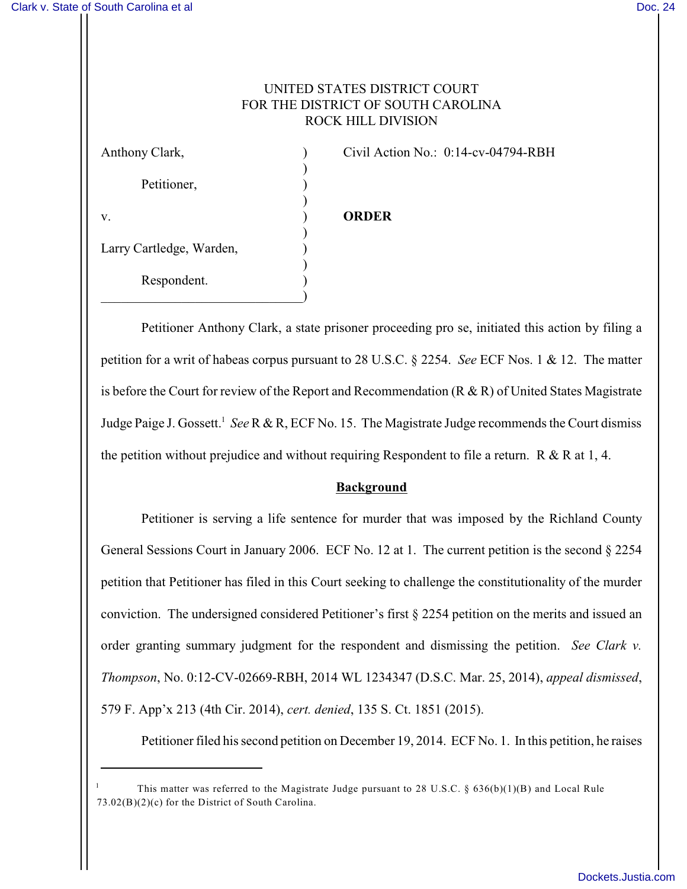## UNITED STATES DISTRICT COURT FOR THE DISTRICT OF SOUTH CAROLINA ROCK HILL DIVISION

) Petitioner, ) v. ) **ORDER** ) Larry Cartledge, Warden, ) Respondent. )  $\qquad \qquad \Box$ 

Anthony Clark,  $\qquad \qquad$  (ivil Action No.: 0:14-cv-04794-RBH)

Petitioner Anthony Clark, a state prisoner proceeding pro se, initiated this action by filing a petition for a writ of habeas corpus pursuant to 28 U.S.C. § 2254. *See* ECF Nos. 1 & 12. The matter is before the Court for review of the Report and Recommendation (R & R) of United States Magistrate Judge Paige J. Gossett.<sup>1</sup> See R & R, ECF No. 15. The Magistrate Judge recommends the Court dismiss the petition without prejudice and without requiring Respondent to file a return. R & R at 1, 4.

## **Background**

Petitioner is serving a life sentence for murder that was imposed by the Richland County General Sessions Court in January 2006. ECF No. 12 at 1. The current petition is the second § 2254 petition that Petitioner has filed in this Court seeking to challenge the constitutionality of the murder conviction. The undersigned considered Petitioner's first § 2254 petition on the merits and issued an order granting summary judgment for the respondent and dismissing the petition. *See Clark v. Thompson*, No. 0:12-CV-02669-RBH, 2014 WL 1234347 (D.S.C. Mar. 25, 2014), *appeal dismissed*, 579 F. App'x 213 (4th Cir. 2014), *cert. denied*, 135 S. Ct. 1851 (2015).

Petitioner filed his second petition on December 19, 2014. ECF No. 1. In this petition, he raises

This matter was referred to the Magistrate Judge pursuant to 28 U.S.C. §  $636(b)(1)(B)$  and Local Rule 73.02(B)(2)(c) for the District of South Carolina.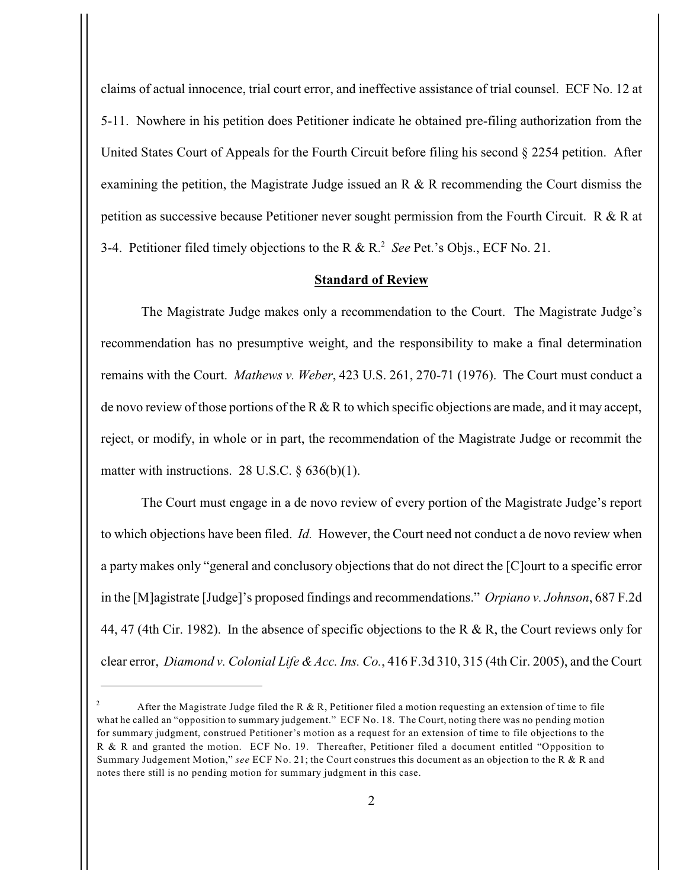claims of actual innocence, trial court error, and ineffective assistance of trial counsel. ECF No. 12 at 5-11. Nowhere in his petition does Petitioner indicate he obtained pre-filing authorization from the United States Court of Appeals for the Fourth Circuit before filing his second § 2254 petition. After examining the petition, the Magistrate Judge issued an R & R recommending the Court dismiss the petition as successive because Petitioner never sought permission from the Fourth Circuit. R & R at 3-4. Petitioner filed timely objections to the R & R.<sup>2</sup> See Pet.'s Objs., ECF No. 21.

#### **Standard of Review**

The Magistrate Judge makes only a recommendation to the Court. The Magistrate Judge's recommendation has no presumptive weight, and the responsibility to make a final determination remains with the Court. *Mathews v. Weber*, 423 U.S. 261, 270-71 (1976). The Court must conduct a de novo review of those portions of the R & R to which specific objections are made, and it may accept, reject, or modify, in whole or in part, the recommendation of the Magistrate Judge or recommit the matter with instructions. 28 U.S.C.  $\S 636(b)(1)$ .

The Court must engage in a de novo review of every portion of the Magistrate Judge's report to which objections have been filed. *Id.* However, the Court need not conduct a de novo review when a party makes only "general and conclusory objections that do not direct the [C]ourt to a specific error in the [M]agistrate [Judge]'s proposed findings and recommendations." *Orpiano v. Johnson*, 687 F.2d 44, 47 (4th Cir. 1982). In the absence of specific objections to the R & R, the Court reviews only for clear error, *Diamond v. Colonial Life & Acc. Ins. Co.*, 416 F.3d 310, 315 (4th Cir. 2005), and the Court

After the Magistrate Judge filed the R & R, Petitioner filed a motion requesting an extension of time to file what he called an "opposition to summary judgement." ECF No. 18. The Court, noting there was no pending motion for summary judgment, construed Petitioner's motion as a request for an extension of time to file objections to the R & R and granted the motion. ECF No. 19. Thereafter, Petitioner filed a document entitled "Opposition to Summary Judgement Motion," *see* ECF No. 21; the Court construes this document as an objection to the R & R and notes there still is no pending motion for summary judgment in this case.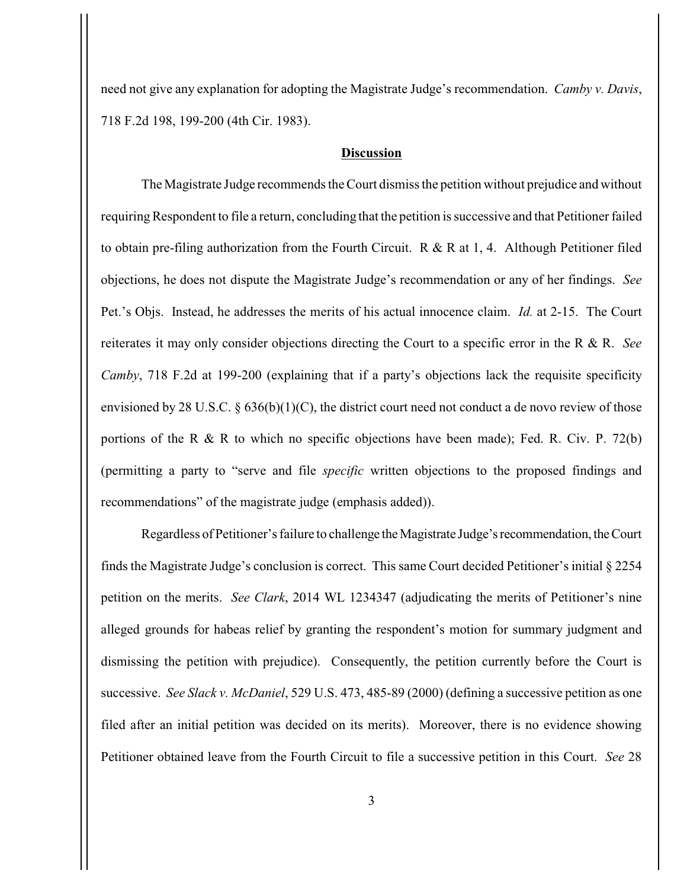need not give any explanation for adopting the Magistrate Judge's recommendation. *Camby v. Davis*, 718 F.2d 198, 199-200 (4th Cir. 1983).

## **Discussion**

The Magistrate Judge recommends the Court dismiss the petition without prejudice and without requiring Respondent to file a return, concluding that the petition is successive and that Petitioner failed to obtain pre-filing authorization from the Fourth Circuit. R & R at 1, 4. Although Petitioner filed objections, he does not dispute the Magistrate Judge's recommendation or any of her findings. *See* Pet.'s Objs. Instead, he addresses the merits of his actual innocence claim. *Id.* at 2-15. The Court reiterates it may only consider objections directing the Court to a specific error in the R & R. *See Camby*, 718 F.2d at 199-200 (explaining that if a party's objections lack the requisite specificity envisioned by 28 U.S.C. § 636(b)(1)(C), the district court need not conduct a de novo review of those portions of the R & R to which no specific objections have been made); Fed. R. Civ. P. 72(b) (permitting a party to "serve and file *specific* written objections to the proposed findings and recommendations" of the magistrate judge (emphasis added)).

Regardless of Petitioner's failure to challenge the Magistrate Judge's recommendation, the Court finds the Magistrate Judge's conclusion is correct. This same Court decided Petitioner's initial § 2254 petition on the merits. *See Clark*, 2014 WL 1234347 (adjudicating the merits of Petitioner's nine alleged grounds for habeas relief by granting the respondent's motion for summary judgment and dismissing the petition with prejudice). Consequently, the petition currently before the Court is successive. *See Slack v. McDaniel*, 529 U.S. 473, 485-89 (2000) (defining a successive petition as one filed after an initial petition was decided on its merits). Moreover, there is no evidence showing Petitioner obtained leave from the Fourth Circuit to file a successive petition in this Court. *See* 28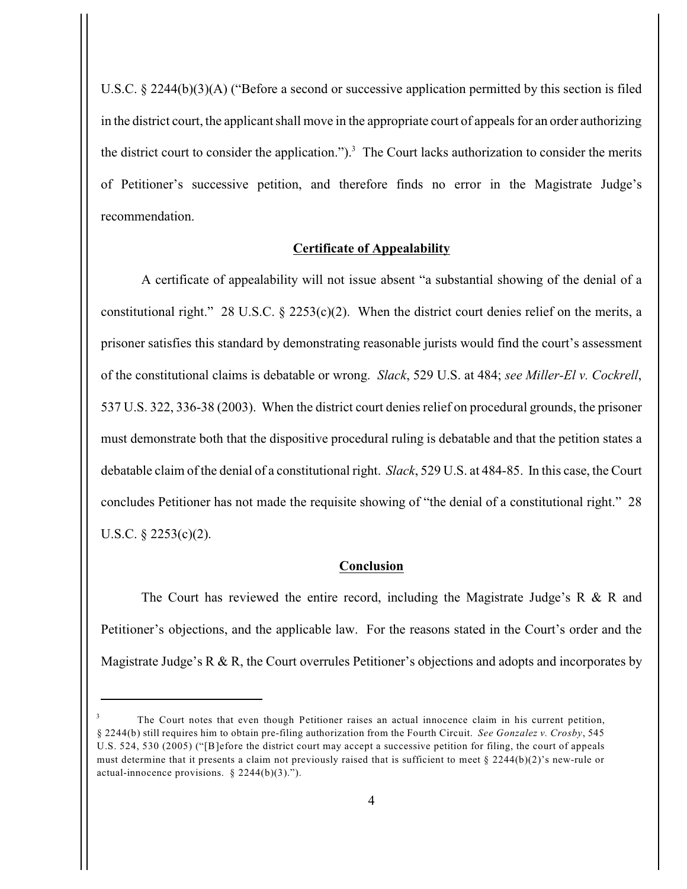U.S.C. § 2244(b)(3)(A) ("Before a second or successive application permitted by this section is filed in the district court, the applicant shall move in the appropriate court of appeals for an order authorizing the district court to consider the application.").<sup>3</sup> The Court lacks authorization to consider the merits of Petitioner's successive petition, and therefore finds no error in the Magistrate Judge's recommendation.

#### **Certificate of Appealability**

A certificate of appealability will not issue absent "a substantial showing of the denial of a constitutional right." 28 U.S.C.  $\S$  2253(c)(2). When the district court denies relief on the merits, a prisoner satisfies this standard by demonstrating reasonable jurists would find the court's assessment of the constitutional claims is debatable or wrong. *Slack*, 529 U.S. at 484; *see Miller-El v. Cockrell*, 537 U.S. 322, 336-38 (2003). When the district court denies relief on procedural grounds, the prisoner must demonstrate both that the dispositive procedural ruling is debatable and that the petition states a debatable claim of the denial of a constitutional right. *Slack*, 529 U.S. at 484-85. In this case, the Court concludes Petitioner has not made the requisite showing of "the denial of a constitutional right." 28 U.S.C. § 2253(c)(2).

#### **Conclusion**

The Court has reviewed the entire record, including the Magistrate Judge's R & R and Petitioner's objections, and the applicable law. For the reasons stated in the Court's order and the Magistrate Judge's R & R, the Court overrules Petitioner's objections and adopts and incorporates by

The Court notes that even though Petitioner raises an actual innocence claim in his current petition, § 2244(b) still requires him to obtain pre-filing authorization from the Fourth Circuit. *See Gonzalez v. Crosby*, 545 U.S. 524, 530 (2005) ("[B]efore the district court may accept a successive petition for filing, the court of appeals must determine that it presents a claim not previously raised that is sufficient to meet  $\S 2244(b)(2)$ 's new-rule or actual-innocence provisions. § 2244(b)(3).").